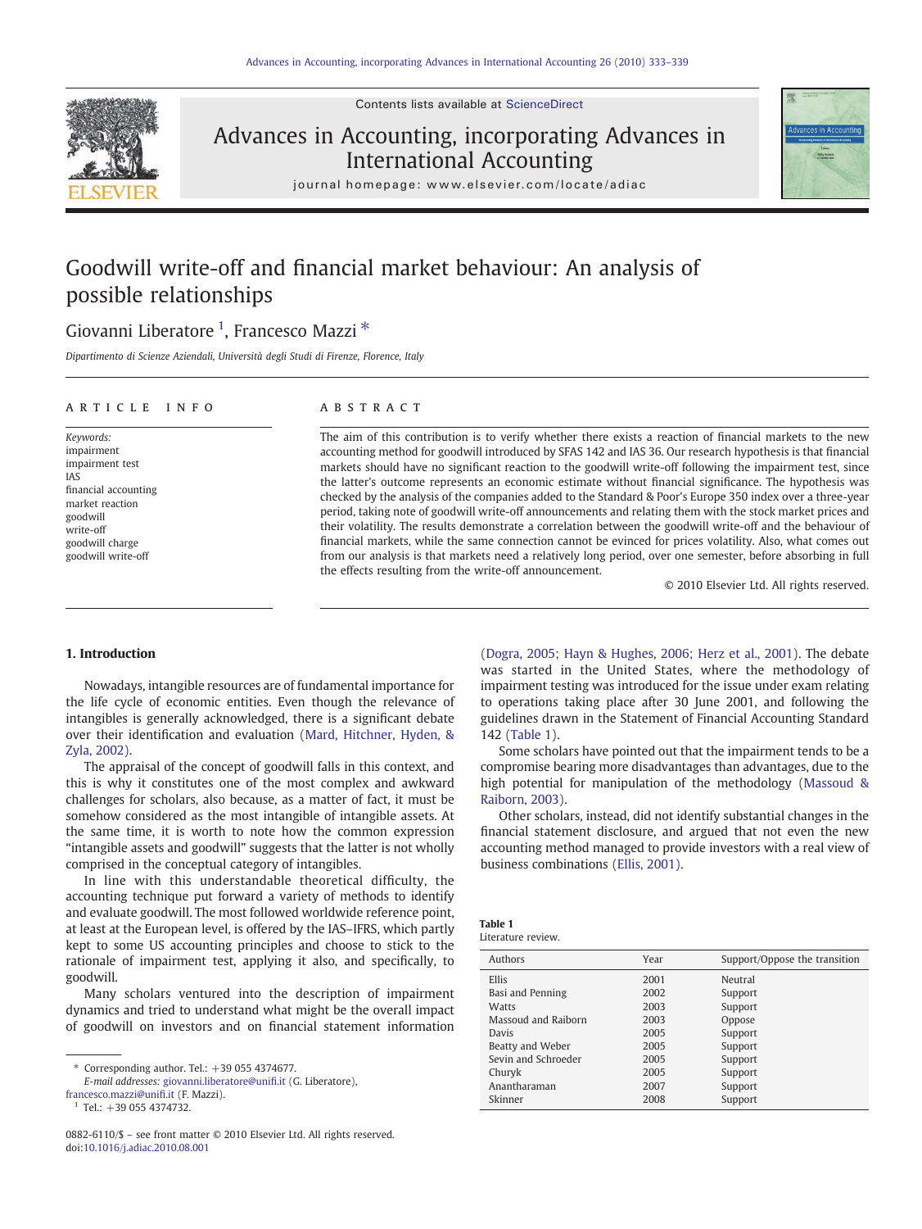

Contents lists available at [ScienceDirect](http://www.sciencedirect.com/science/journal/08826110)

## Advances in Accounting, incorporating Advances in International Accounting



journal homepage: www.elsevier.com/locate/adiac

## Goodwill write-off and financial market behaviour: An analysis of possible relationships

## Giovanni Liberatore <sup>1</sup>, Francesco Mazzi \*

Dipartimento di Scienze Aziendali, Università degli Studi di Firenze, Florence, Italy

### article info abstract

Keywords: impairment impairment test IAS financial accounting market reaction goodwill write-off goodwill charge goodwill write-off

The aim of this contribution is to verify whether there exists a reaction of financial markets to the new accounting method for goodwill introduced by SFAS 142 and IAS 36. Our research hypothesis is that financial markets should have no significant reaction to the goodwill write-off following the impairment test, since the latter's outcome represents an economic estimate without financial significance. The hypothesis was checked by the analysis of the companies added to the Standard & Poor's Europe 350 index over a three-year period, taking note of goodwill write-off announcements and relating them with the stock market prices and their volatility. The results demonstrate a correlation between the goodwill write-off and the behaviour of financial markets, while the same connection cannot be evinced for prices volatility. Also, what comes out from our analysis is that markets need a relatively long period, over one semester, before absorbing in full the effects resulting from the write-off announcement.

© 2010 Elsevier Ltd. All rights reserved.

### 1. Introduction

Nowadays, intangible resources are of fundamental importance for the life cycle of economic entities. Even though the relevance of intangibles is generally acknowledged, there is a significant debate over their identification and evaluation [\(Mard, Hitchner, Hyden, &](#page--1-0) [Zyla, 2002](#page--1-0)).

The appraisal of the concept of goodwill falls in this context, and this is why it constitutes one of the most complex and awkward challenges for scholars, also because, as a matter of fact, it must be somehow considered as the most intangible of intangible assets. At the same time, it is worth to note how the common expression "intangible assets and goodwill" suggests that the latter is not wholly comprised in the conceptual category of intangibles.

In line with this understandable theoretical difficulty, the accounting technique put forward a variety of methods to identify and evaluate goodwill. The most followed worldwide reference point, at least at the European level, is offered by the IAS–IFRS, which partly kept to some US accounting principles and choose to stick to the rationale of impairment test, applying it also, and specifically, to goodwill.

Many scholars ventured into the description of impairment dynamics and tried to understand what might be the overall impact of goodwill on investors and on financial statement information

E-mail addresses: [giovanni.liberatore@uni](mailto:giovanni.liberatore@unifi.it)fi.it (G. Liberatore),

[francesco.mazzi@uni](mailto:francesco.mazzi@unifi.it)fi.it (F. Mazzi).

 $Tel.: +39 055 4374732.$ 

[\(Dogra, 2005; Hayn & Hughes, 2006; Herz et al., 2001](#page--1-0)). The debate was started in the United States, where the methodology of impairment testing was introduced for the issue under exam relating to operations taking place after 30 June 2001, and following the guidelines drawn in the Statement of Financial Accounting Standard 142 (Table 1).

Some scholars have pointed out that the impairment tends to be a compromise bearing more disadvantages than advantages, due to the high potential for manipulation of the methodology [\(Massoud &](#page--1-0) [Raiborn, 2003](#page--1-0)).

Other scholars, instead, did not identify substantial changes in the financial statement disclosure, and argued that not even the new accounting method managed to provide investors with a real view of business combinations ([Ellis, 2001](#page--1-0)).

| Table 1           |  |
|-------------------|--|
| Literature review |  |

| <b>Authors</b>      | Year | Support/Oppose the transition |
|---------------------|------|-------------------------------|
| <b>Ellis</b>        | 2001 | Neutral                       |
| Basi and Penning    | 2002 | Support                       |
| <b>Watts</b>        | 2003 | Support                       |
| Massoud and Raiborn | 2003 | Oppose                        |
| Davis               | 2005 | Support                       |
| Beatty and Weber    | 2005 | Support                       |
| Sevin and Schroeder | 2005 | Support                       |
| Churyk              | 2005 | Support                       |
| Anantharaman        | 2007 | Support                       |
| Skinner             | 2008 | Support                       |

<sup>⁎</sup> Corresponding author. Tel.: +39 055 4374677.

<sup>0882-6110/\$</sup> – see front matter © 2010 Elsevier Ltd. All rights reserved. doi:[10.1016/j.adiac.2010.08.001](http://dx.doi.org/10.1016/j.adiac.2010.08.001)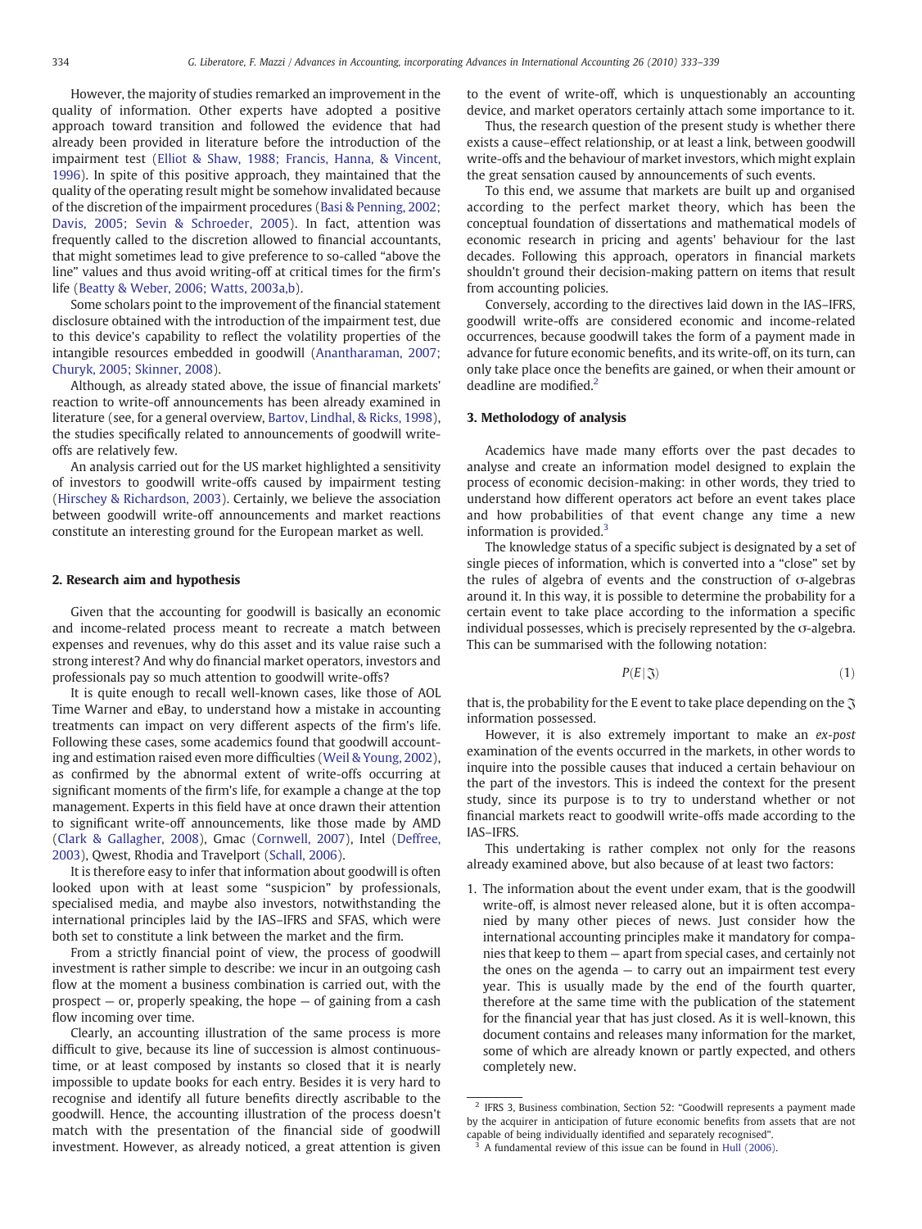However, the majority of studies remarked an improvement in the quality of information. Other experts have adopted a positive approach toward transition and followed the evidence that had already been provided in literature before the introduction of the impairment test ([Elliot & Shaw, 1988; Francis, Hanna, & Vincent,](#page--1-0) [1996\)](#page--1-0). In spite of this positive approach, they maintained that the quality of the operating result might be somehow invalidated because of the discretion of the impairment procedures [\(Basi & Penning, 2002;](#page--1-0) [Davis, 2005; Sevin & Schroeder, 2005\)](#page--1-0). In fact, attention was frequently called to the discretion allowed to financial accountants, that might sometimes lead to give preference to so-called "above the line" values and thus avoid writing-off at critical times for the firm's life [\(Beatty & Weber, 2006; Watts, 2003a,b\)](#page--1-0).

Some scholars point to the improvement of the financial statement disclosure obtained with the introduction of the impairment test, due to this device's capability to reflect the volatility properties of the intangible resources embedded in goodwill [\(Anantharaman, 2007;](#page--1-0) [Churyk, 2005; Skinner, 2008\)](#page--1-0).

Although, as already stated above, the issue of financial markets' reaction to write-off announcements has been already examined in literature (see, for a general overview, [Bartov, Lindhal, & Ricks, 1998](#page--1-0)), the studies specifically related to announcements of goodwill writeoffs are relatively few.

An analysis carried out for the US market highlighted a sensitivity of investors to goodwill write-offs caused by impairment testing [\(Hirschey & Richardson, 2003](#page--1-0)). Certainly, we believe the association between goodwill write-off announcements and market reactions constitute an interesting ground for the European market as well.

### 2. Research aim and hypothesis

Given that the accounting for goodwill is basically an economic and income-related process meant to recreate a match between expenses and revenues, why do this asset and its value raise such a strong interest? And why do financial market operators, investors and professionals pay so much attention to goodwill write-offs?

It is quite enough to recall well-known cases, like those of AOL Time Warner and eBay, to understand how a mistake in accounting treatments can impact on very different aspects of the firm's life. Following these cases, some academics found that goodwill accounting and estimation raised even more difficulties ([Weil & Young, 2002](#page--1-0)), as confirmed by the abnormal extent of write-offs occurring at significant moments of the firm's life, for example a change at the top management. Experts in this field have at once drawn their attention to significant write-off announcements, like those made by AMD [\(Clark & Gallagher, 2008](#page--1-0)), Gmac [\(Cornwell, 2007\)](#page--1-0), Intel ([Deffree,](#page--1-0) [2003\)](#page--1-0), Qwest, Rhodia and Travelport [\(Schall, 2006\)](#page--1-0).

It is therefore easy to infer that information about goodwill is often looked upon with at least some "suspicion" by professionals, specialised media, and maybe also investors, notwithstanding the international principles laid by the IAS–IFRS and SFAS, which were both set to constitute a link between the market and the firm.

From a strictly financial point of view, the process of goodwill investment is rather simple to describe: we incur in an outgoing cash flow at the moment a business combination is carried out, with the  $propect - or$ , properly speaking, the hope  $-$  of gaining from a cash flow incoming over time.

Clearly, an accounting illustration of the same process is more difficult to give, because its line of succession is almost continuoustime, or at least composed by instants so closed that it is nearly impossible to update books for each entry. Besides it is very hard to recognise and identify all future benefits directly ascribable to the goodwill. Hence, the accounting illustration of the process doesn't match with the presentation of the financial side of goodwill investment. However, as already noticed, a great attention is given

to the event of write-off, which is unquestionably an accounting device, and market operators certainly attach some importance to it.

Thus, the research question of the present study is whether there exists a cause–effect relationship, or at least a link, between goodwill write-offs and the behaviour of market investors, which might explain the great sensation caused by announcements of such events.

To this end, we assume that markets are built up and organised according to the perfect market theory, which has been the conceptual foundation of dissertations and mathematical models of economic research in pricing and agents' behaviour for the last decades. Following this approach, operators in financial markets shouldn't ground their decision-making pattern on items that result from accounting policies.

Conversely, according to the directives laid down in the IAS–IFRS, goodwill write-offs are considered economic and income-related occurrences, because goodwill takes the form of a payment made in advance for future economic benefits, and its write-off, on its turn, can only take place once the benefits are gained, or when their amount or deadline are modified.<sup>2</sup>

### 3. Metholodogy of analysis

Academics have made many efforts over the past decades to analyse and create an information model designed to explain the process of economic decision-making: in other words, they tried to understand how different operators act before an event takes place and how probabilities of that event change any time a new information is provided.<sup>3</sup>

The knowledge status of a specific subject is designated by a set of single pieces of information, which is converted into a "close" set by the rules of algebra of events and the construction of σ-algebras around it. In this way, it is possible to determine the probability for a certain event to take place according to the information a specific individual possesses, which is precisely represented by the σ-algebra. This can be summarised with the following notation:

$$
P(E \mid \mathfrak{J}) \tag{1}
$$

that is, the probability for the E event to take place depending on the  $\mathfrak I$ information possessed.

However, it is also extremely important to make an ex-post examination of the events occurred in the markets, in other words to inquire into the possible causes that induced a certain behaviour on the part of the investors. This is indeed the context for the present study, since its purpose is to try to understand whether or not financial markets react to goodwill write-offs made according to the IAS–IFRS.

This undertaking is rather complex not only for the reasons already examined above, but also because of at least two factors:

1. The information about the event under exam, that is the goodwill write-off, is almost never released alone, but it is often accompanied by many other pieces of news. Just consider how the international accounting principles make it mandatory for companies that keep to them — apart from special cases, and certainly not the ones on the agenda  $-$  to carry out an impairment test every year. This is usually made by the end of the fourth quarter, therefore at the same time with the publication of the statement for the financial year that has just closed. As it is well-known, this document contains and releases many information for the market, some of which are already known or partly expected, and others completely new.

IFRS 3, Business combination, Section 52: "Goodwill represents a payment made by the acquirer in anticipation of future economic benefits from assets that are not capable of being individually identified and separately recognised".

<sup>3</sup> A fundamental review of this issue can be found in [Hull \(2006\)](#page--1-0).